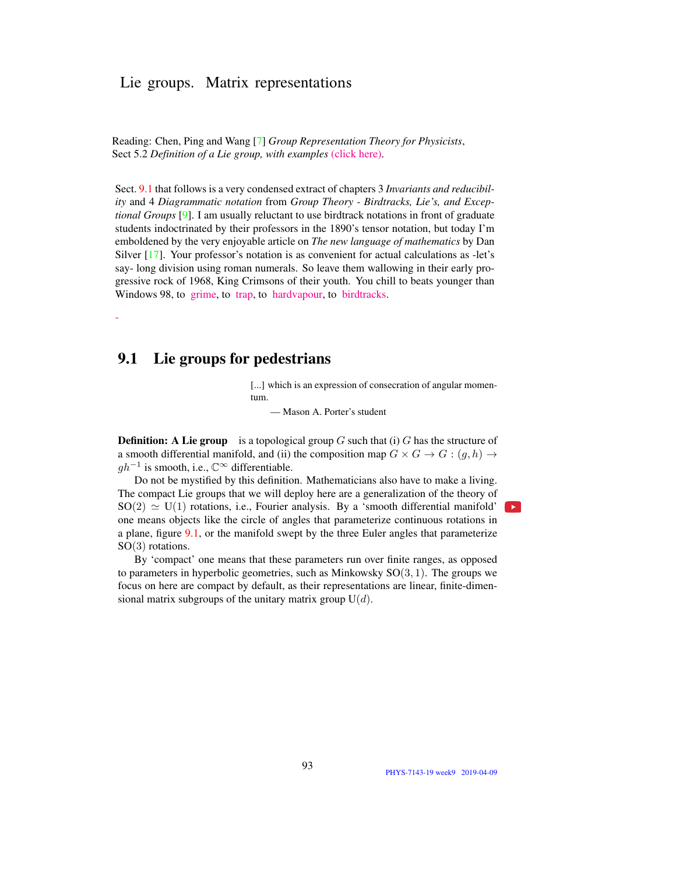## Lie groups. Matrix representations

Reading: Chen, Ping and Wang [7] *Group Representation Theory for Physicists*, Sect 5.2 *Definition of a Lie group, with examples* (click here).

Sect. 9.1 that follows is a very condensed extract of chapters 3 *Invariants and reducibility* and 4 *Diagrammatic notation* from *Group Theory - Birdtracks, Lie's, and Exceptional Groups* [9]. I am usually reluctant to use birdtrack notations in front of graduate students indoctrinated by their professors in the 1890's tensor notation, but today I'm emboldened by the very enjoyable article on *The new language of mathematics* by Dan Silver [17]. Your professor's notation is as convenient for actual calculations as -let's say- long division using roman numerals. So leave them wallowing in their early progressive rock of 1968, King Crimsons of their youth. You chill to beats younger than Windows 98, to grime, to trap, to hardvapour, to birdtracks.

## 9.1 Lie groups for pedestrians

-

[...] which is an expression of consecration of angular momentum.

— Mason A. Porter's student

**Definition:** A Lie group is a topological group  $G$  such that (i)  $G$  has the structure of a smooth differential manifold, and (ii) the composition map  $G \times G \to G : (g, h) \to$  $gh^{-1}$  is smooth, i.e.,  $\mathbb{C}^{\infty}$  differentiable.

Do not be mystified by this definition. Mathematicians also have to make a living. The compact Lie groups that we will deploy here are a generalization of the theory of  $SO(2) \simeq U(1)$  rotations, i.e., Fourier analysis. By a 'smooth differential manifold' one means objects like the circle of angles that parameterize continuous rotations in a plane, figure [9.1,](#page-1-0) or the manifold swept by the three Euler angles that parameterize SO(3) rotations.

By 'compact' one means that these parameters run over finite ranges, as opposed to parameters in hyperbolic geometries, such as Minkowsky  $SO(3, 1)$ . The groups we focus on here are compact by default, as their representations are linear, finite-dimensional matrix subgroups of the unitary matrix group  $U(d)$ .

 $\rightarrow$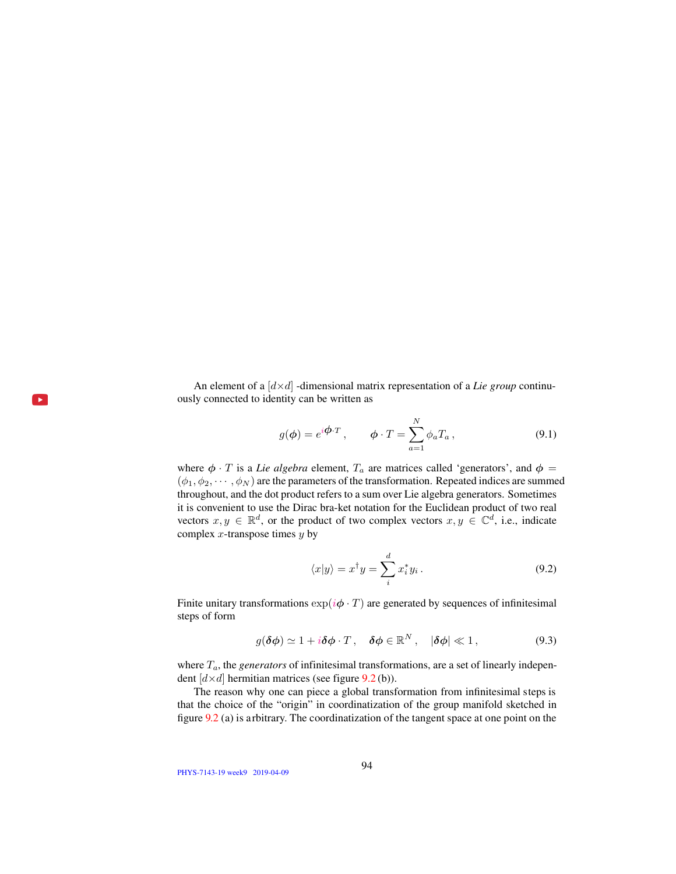<span id="page-1-0"></span>An element of a  $\left[ d \times d \right]$  -dimensional matrix representation of a *Lie group* continuously connected to identity can be written as

$$
g(\phi) = e^{i\phi \cdot T}, \qquad \phi \cdot T = \sum_{a=1}^{N} \phi_a T_a, \qquad (9.1)
$$

where  $\phi \cdot T$  is a *Lie algebra* element,  $T_a$  are matrices called 'generators', and  $\phi =$  $(\phi_1, \phi_2, \cdots, \phi_N)$  are the parameters of the transformation. Repeated indices are summed throughout, and the dot product refers to a sum over Lie algebra generators. Sometimes it is convenient to use the Dirac bra-ket notation for the Euclidean product of two real vectors  $x, y \in \mathbb{R}^d$ , or the product of two complex vectors  $x, y \in \mathbb{C}^d$ , i.e., indicate complex  $x$ -transpose times  $y$  by

$$
\langle x|y\rangle = x^{\dagger}y = \sum_{i}^{d} x_{i}^{*}y_{i}.
$$
 (9.2)

Finite unitary transformations  $\exp(i\phi \cdot T)$  are generated by sequences of infinitesimal steps of form

<span id="page-1-2"></span>
$$
g(\delta\phi) \simeq 1 + i\delta\phi \cdot T, \quad \delta\phi \in \mathbb{R}^N, \quad |\delta\phi| \ll 1, \tag{9.3}
$$

where  $T_a$ , the *generators* of infinitesimal transformations, are a set of linearly independent  $[d \times d]$  [h](#page-1-1)ermitian matrices (see figure [9.2](#page-2-0) (b)).

The reason why one can piece a global transformation from infinitesimal steps is that the choice of the "origin" in coordinatization of the group manifold sketched in figure [9.2](#page-2-0) (a) is arbitrary. The coordinatization of the tangent space at one point on the

<span id="page-1-1"></span>PHYS-7143-19 week9 2019-04-09

 $\mathbf{r}$